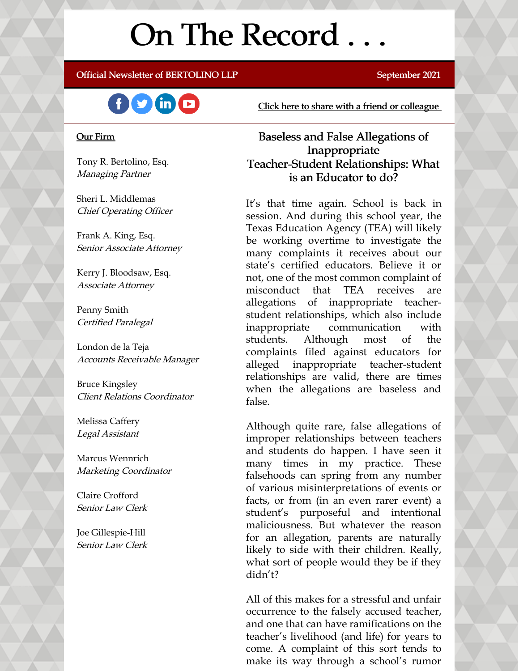# On The Record . . .

Official Newsletter of BERTOLINO LLP September 2021



#### Our Firm

Tony R. Bertolino, Esq. Managing Partner

Sheri L. Middlemas Chief Operating Officer

Frank A. King, Esq. Senior Associate Attorney

Kerry J. Bloodsaw, Esq. Associate Attorney

Penny Smith Certified Paralegal

London de la Teja Accounts Receivable Manager

Bruce Kingsley Client Relations Coordinator

Melissa Caffery Legal Assistant

Marcus Wennrich Marketing Coordinator

Claire Crofford Senior Law Clerk

Joe Gillespie-Hill Senior Law Clerk Click here to share with a friend or [colleague](https://visitor.r20.constantcontact.com/manage/optin?v=001xvcZBIZGArRYZxP_ENhTFsnPqgcrAHF_8FAGh0C6OoU_TYzgqPeo9kiI5F5Vb-xdZP7jClYZWX2ttQp6Q7JygJ1sq0DH9MDHJwjzNoREDc4=)

### Baseless and False Allegations of Inappropriate Teacher-Student Relationships: What is an Educator to do?

It's that time again. School is back in session. And during this school year, the Texas Education Agency (TEA) will likely be working overtime to investigate the many complaints it receives about our state's certified educators. Believe it or not, one of the most common complaint of misconduct that TEA receives are allegations of inappropriate teacherstudent relationships, which also include inappropriate communication with students. Although most of the complaints filed against educators for alleged inappropriate teacher-student relationships are valid, there are times when the allegations are baseless and false.

Although quite rare, false allegations of improper relationships between teachers and students do happen. I have seen it many times in my practice. These falsehoods can spring from any number of various misinterpretations of events or facts, or from (in an even rarer event) a student's purposeful and intentional maliciousness. But whatever the reason for an allegation, parents are naturally likely to side with their children. Really, what sort of people would they be if they didn't?

All of this makes for a stressful and unfair occurrence to the falsely accused teacher, and one that can have ramifications on the teacher's livelihood (and life) for years to come. A complaint of this sort tends to make its way through a school's rumor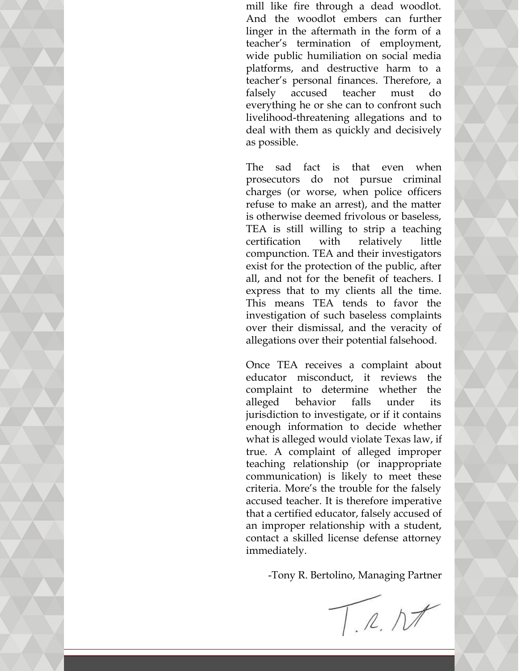mill like fire through a dead woodlot. And the woodlot embers can further linger in the aftermath in the form of a teacher's termination of employment, wide public humiliation on social media platforms, and destructive harm to a teacher's personal finances. Therefore, a falsely accused teacher must do everything he or she can to confront such livelihood-threatening allegations and to deal with them as quickly and decisively as possible.

The sad fact is that even when prosecutors do not pursue criminal charges (or worse, when police officers refuse to make an arrest), and the matter is otherwise deemed frivolous or baseless, TEA is still willing to strip a teaching certification with relatively little compunction. TEA and their investigators exist for the protection of the public, after all, and not for the benefit of teachers. I express that to my clients all the time. This means TEA tends to favor the investigation of such baseless complaints over their dismissal, and the veracity of allegations over their potential falsehood.

Once TEA receives a complaint about educator misconduct, it reviews the complaint to determine whether the alleged behavior falls under its jurisdiction to investigate, or if it contains enough information to decide whether what is alleged would violate Texas law, if true. A complaint of alleged improper teaching relationship (or inappropriate communication) is likely to meet these criteria. More's the trouble for the falsely accused teacher. It is therefore imperative that a certified educator, falsely accused of an improper relationship with a student, contact a skilled license defense attorney immediately.

-Tony R. Bertolino, Managing Partner

T.R.Nt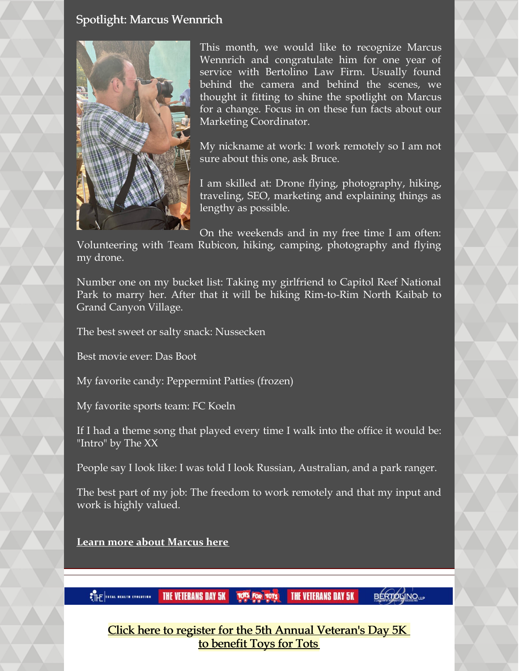#### Spotlight: Marcus Wennrich



This month, we would like to recognize Marcus Wennrich and congratulate him for one year of service with Bertolino Law Firm. Usually found behind the camera and behind the scenes, we thought it fitting to shine the spotlight on Marcus for a change. Focus in on these fun facts about our Marketing Coordinator.

My nickname at work: I work remotely so I am not sure about this one, ask Bruce.

I am skilled at: Drone flying, photography, hiking, traveling, SEO, marketing and explaining things as lengthy as possible.

On the weekends and in my free time I am often: Volunteering with Team Rubicon, hiking, camping, photography and flying

my drone.

Number one on my bucket list: Taking my girlfriend to Capitol Reef National Park to marry her. After that it will be hiking Rim-to-Rim North Kaibab to Grand Canyon Village.

The best sweet or salty snack: Nussecken

Best movie ever: Das Boot

My favorite candy: Peppermint Patties (frozen)

My favorite sports team: FC Koeln

If I had a theme song that played every time I walk into the office it would be: "Intro" by The XX

People say I look like: I was told I look Russian, Australian, and a park ranger.

The best part of my job: The freedom to work remotely and that my input and work is highly valued.

**Learn more about [Marcus](https://www.belolaw.com/about/#marcus) here**

**TOTS FOR TOTS THE VETERANS DAY 5K CTHE TOTAL NEALTH EVOLUTION** 

**THE VETERANS DAY 5K** 

**BERTOLINO**<sub>LL</sub>

Click here to register for the 5th Annual [Veteran's](https://thefun5k.run/) Day 5K to [benefit](https://thefun5k.run/) Toys for Tots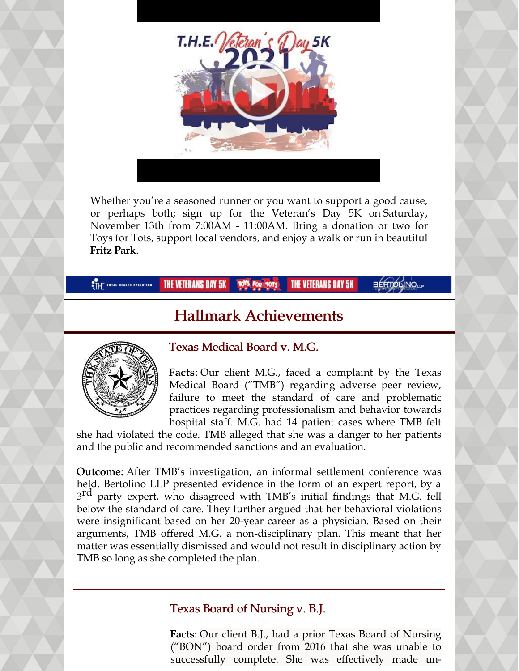

Whether you're a seasoned runner or you want to support a good cause, or perhaps both; sign up for the Veteran's Day 5K on Saturday, November 13th from 7:00AM - 11:00AM. Bring a donation or two for Toys for Tots, support local vendors, and enjoy a walk or run in beautiful Fritz [Park](https://tx-hutto2.civicplus.com/facilities/facility/details/fritzpark-2).

**THE VETERANS DAY 5K THE VETERANS DAY 5K BÉRTOLINO**UP **OTHE TOTAL NEALTH EVOLUTION |** 

# Hallmark Achievements



## Texas Medical Board v. M.G.

Facts: Our client M.G., faced a complaint by the Texas Medical Board ("TMB") regarding adverse peer review, failure to meet the standard of care and problematic practices regarding professionalism and behavior towards hospital staff. M.G. had 14 patient cases where TMB felt

she had violated the code. TMB alleged that she was a danger to her patients and the public and recommended sanctions and an evaluation.

Outcome: After TMB's investigation, an informal settlement conference was held. Bertolino LLP presented evidence in the form of an expert report, by a 3<sup>rd</sup> party expert, who disagreed with TMB's initial findings that M.G. fell below the standard of care. They further argued that her behavioral violations were insignificant based on her 20-year career as a physician. Based on their arguments, TMB offered M.G. a non-disciplinary plan. This meant that her matter was essentially dismissed and would not result in disciplinary action by TMB so long as she completed the plan.

## Texas Board of Nursing v. B.J.

Facts: Our client B.J., had a prior Texas Board of Nursing ("BON") board order from 2016 that she was unable to successfully complete. She was effectively made un-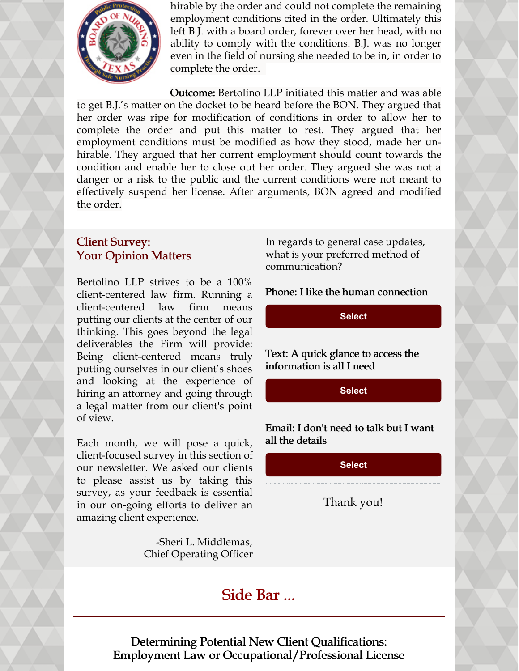

hirable by the order and could not complete the remaining employment conditions cited in the order. Ultimately this left B.J. with a board order, forever over her head, with no ability to comply with the conditions. B.J. was no longer even in the field of nursing she needed to be in, in order to complete the order.

Outcome: Bertolino LLP initiated this matter and was able to get B.J.'s matter on the docket to be heard before the BON. They argued that her order was ripe for modification of conditions in order to allow her to complete the order and put this matter to rest. They argued that her employment conditions must be modified as how they stood, made her unhirable. They argued that her current employment should count towards the condition and enable her to close out her order. They argued she was not a danger or a risk to the public and the current conditions were not meant to effectively suspend her license. After arguments, BON agreed and modified the order.

### Client Survey: Your Opinion Matters

Bertolino LLP strives to be a 100% client-centered law firm. Running a client-centered law firm means putting our clients at the center of our thinking. This goes beyond the legal deliverables the Firm will provide: Being client-centered means truly putting ourselves in our client's shoes and looking at the experience of hiring an attorney and going through a legal matter from our client's point of view.

Each month, we will pose a quick, client-focused survey in this section of our newsletter. We asked our clients to please assist us by taking this survey, as your feedback is essential in our on-going efforts to deliver an amazing client experience.

> -Sheri L. Middlemas, Chief Operating Officer

In regards to general case updates, what is your preferred method of communication?

Phone: I like the human connection

**[Select](https://campaignlp.constantcontact.com/forms/response?id=8MTVuLZxdx2tqY6ViR4pGQ2t9mHnmSeJ4goKkc38Tp660nNLBb8F3ZMZjEc4mg_-o--hVSrvH-MJOP7O8IUdbJpSkTLkZTMQZJuuVR_W1ZXNTFcn44FxrkefHHfLPwMsNFRAvXPTgf6ntgXkXdilM2-dZYa-N6t_GT4GWjyk6yQPqPK3bdhLDARKGL4QpUnxuzWk_BooTyXFYMefTsr-aw&encVer=1&c=&ch=)**

Text: A quick glance to access the information is all I need

**[Select](https://campaignlp.constantcontact.com/forms/response?id=8MTVuLZxdx2tqY6ViR4pGQ2t9mHnmSeJ4goKkc38Tp660nNLBb8F3ZMZjEc4mg_-o--hVSrvH-MJOP7O8IUdbJpSkTLkZTMQZJuuVR_W1ZXNTFcn44FxrkefHHfLPwMsNFRAvXPTgf6ntgXkXdilM2-dZYa-N6t_GT4GWjyk6yQPqPK3bdhLDARKGL4QpUnxuzWk_BooTyXXN6S9LkQxSg&encVer=1&c=&ch=)**

Email: I don't need to talk but I want all the details

**[Select](https://campaignlp.constantcontact.com/forms/response?id=8MTVuLZxdx2tqY6ViR4pGQ2t9mHnmSeJ4goKkc38Tp660nNLBb8F3ZMZjEc4mg_-o--hVSrvH-MJOP7O8IUdbJpSkTLkZTMQZJuuVR_W1ZXNTFcn44FxrkefHHfLPwMsNFRAvXPTgf6ntgXkXdilM2-dZYa-N6t_GT4GWjyk6yQPqPK3bdhLDARKGL4QpUnxuzWk_BooTyWrUSvPlZJhEA&encVer=1&c=&ch=)**

Thank you!

# Side Bar ...



Determining Potential New Client Qualifications: Employment Law or Occupational/Professional License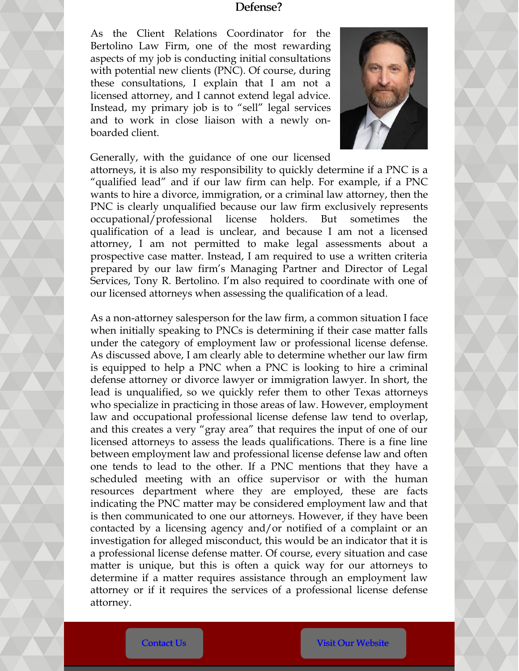#### Defense?

As the Client Relations Coordinator for the Bertolino Law Firm, one of the most rewarding aspects of my job is conducting initial consultations with potential new clients (PNC). Of course, during these consultations, I explain that I am not a licensed attorney, and I cannot extend legal advice. Instead, my primary job is to "sell" legal services and to work in close liaison with a newly onboarded client.



Generally, with the guidance of one our licensed attorneys, it is also my responsibility to quickly determine if a PNC is a "qualified lead" and if our law firm can help. For example, if a PNC wants to hire a divorce, immigration, or a criminal law attorney, then the PNC is clearly unqualified because our law firm exclusively represents occupational/professional license holders. But sometimes the qualification of a lead is unclear, and because I am not a licensed attorney, I am not permitted to make legal assessments about a prospective case matter. Instead, I am required to use a written criteria prepared by our law firm's Managing Partner and Director of Legal Services, Tony R. Bertolino. I'm also required to coordinate with one of our licensed attorneys when assessing the qualification of a lead.

As a non-attorney salesperson for the law firm, a common situation I face when initially speaking to PNCs is determining if their case matter falls under the category of employment law or professional license defense. As discussed above, I am clearly able to determine whether our law firm is equipped to help a PNC when a PNC is looking to hire a criminal defense attorney or divorce lawyer or immigration lawyer. In short, the lead is unqualified, so we quickly refer them to other Texas attorneys who specialize in practicing in those areas of law. However, employment law and occupational professional license defense law tend to overlap, and this creates a very "gray area" that requires the input of one of our licensed attorneys to assess the leads qualifications. There is a fine line between employment law and professional license defense law and often one tends to lead to the other. If a PNC mentions that they have a scheduled meeting with an office supervisor or with the human resources department where they are employed, these are facts indicating the PNC matter may be considered employment law and that is then communicated to one our attorneys. However, if they have been contacted by a licensing agency and/or notified of a complaint or an investigation for alleged misconduct, this would be an indicator that it is a professional license defense matter. Of course, every situation and case matter is unique, but this is often a quick way for our attorneys to determine if a matter requires assistance through an employment law attorney or if it requires the services of a professional license defense attorney.